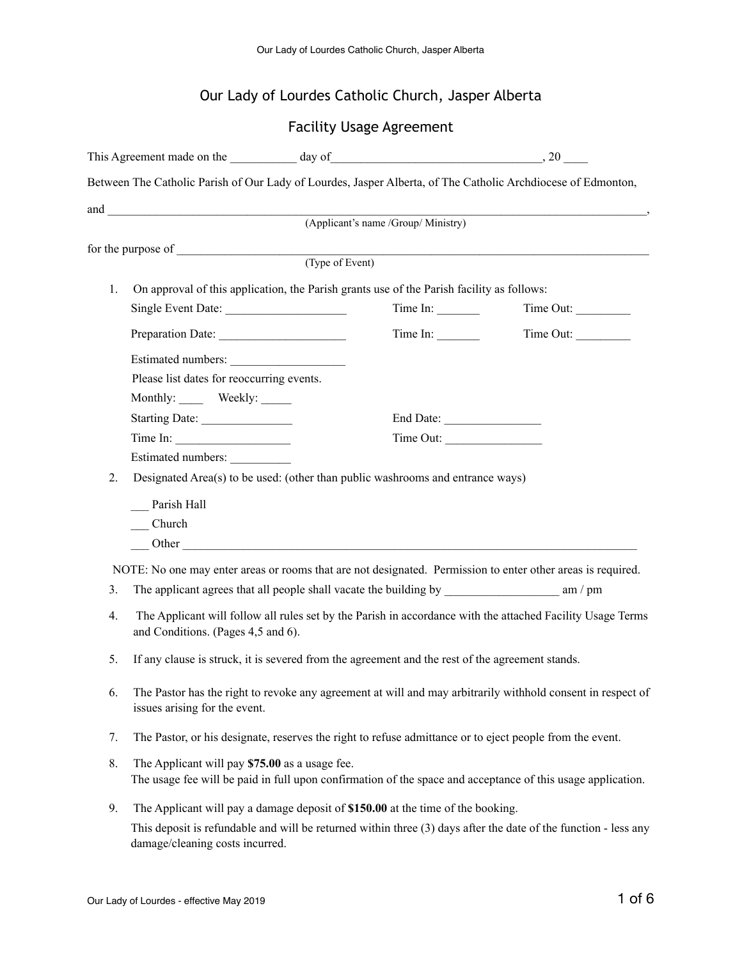# Our Lady of Lourdes Catholic Church, Jasper Alberta

## Facility Usage Agreement

|                | This Agreement made on the day of day of 30 and 30 and 30 and 30 and 30 and 30 and 30 and 30 and 30 and 30 and 30 and 30 and 30 and 30 and 30 and 30 and 30 and 30 and 30 and 30 and 30 and 30 and 30 and 30 and 30 and 30 and       |                                                                                           |           |                                                                                                              |  |  |
|----------------|--------------------------------------------------------------------------------------------------------------------------------------------------------------------------------------------------------------------------------------|-------------------------------------------------------------------------------------------|-----------|--------------------------------------------------------------------------------------------------------------|--|--|
|                |                                                                                                                                                                                                                                      |                                                                                           |           | Between The Catholic Parish of Our Lady of Lourdes, Jasper Alberta, of The Catholic Archdiocese of Edmonton, |  |  |
|                | and <u>the contract of the contract of the contract of the contract of the contract of the contract of the contract of the contract of the contract of the contract of the contract of the contract of the contract of the contr</u> |                                                                                           |           |                                                                                                              |  |  |
|                |                                                                                                                                                                                                                                      | (Applicant's name /Group/ Ministry)                                                       |           |                                                                                                              |  |  |
|                |                                                                                                                                                                                                                                      |                                                                                           |           |                                                                                                              |  |  |
|                |                                                                                                                                                                                                                                      | (Type of Event)                                                                           |           |                                                                                                              |  |  |
| 1.             |                                                                                                                                                                                                                                      | On approval of this application, the Parish grants use of the Parish facility as follows: |           |                                                                                                              |  |  |
|                | Single Event Date:                                                                                                                                                                                                                   |                                                                                           | Time In:  | Time Out:                                                                                                    |  |  |
|                |                                                                                                                                                                                                                                      |                                                                                           | Time In:  | Time Out:                                                                                                    |  |  |
|                | Estimated numbers:                                                                                                                                                                                                                   |                                                                                           |           |                                                                                                              |  |  |
|                | Please list dates for reoccurring events.                                                                                                                                                                                            |                                                                                           |           |                                                                                                              |  |  |
|                | Monthly: Weekly:                                                                                                                                                                                                                     |                                                                                           |           |                                                                                                              |  |  |
|                | Starting Date:                                                                                                                                                                                                                       |                                                                                           | End Date: |                                                                                                              |  |  |
|                | Time In:                                                                                                                                                                                                                             |                                                                                           | Time Out: |                                                                                                              |  |  |
|                | Estimated numbers:                                                                                                                                                                                                                   |                                                                                           |           |                                                                                                              |  |  |
| 2.             |                                                                                                                                                                                                                                      | Designated Area(s) to be used: (other than public washrooms and entrance ways)            |           |                                                                                                              |  |  |
|                | Parish Hall                                                                                                                                                                                                                          |                                                                                           |           |                                                                                                              |  |  |
|                | Church                                                                                                                                                                                                                               |                                                                                           |           |                                                                                                              |  |  |
|                |                                                                                                                                                                                                                                      |                                                                                           |           |                                                                                                              |  |  |
|                |                                                                                                                                                                                                                                      |                                                                                           |           | NOTE: No one may enter areas or rooms that are not designated. Permission to enter other areas is required.  |  |  |
| 3 <sub>1</sub> |                                                                                                                                                                                                                                      |                                                                                           |           |                                                                                                              |  |  |
| 4.             | The Applicant will follow all rules set by the Parish in accordance with the attached Facility Usage Terms<br>and Conditions. (Pages 4,5 and 6).                                                                                     |                                                                                           |           |                                                                                                              |  |  |
| 5.             | If any clause is struck, it is severed from the agreement and the rest of the agreement stands.                                                                                                                                      |                                                                                           |           |                                                                                                              |  |  |
| 6.             | The Pastor has the right to revoke any agreement at will and may arbitrarily withhold consent in respect of<br>issues arising for the event.                                                                                         |                                                                                           |           |                                                                                                              |  |  |
| 7.             | The Pastor, or his designate, reserves the right to refuse admittance or to eject people from the event.                                                                                                                             |                                                                                           |           |                                                                                                              |  |  |
| 8.             | The Applicant will pay \$75.00 as a usage fee.                                                                                                                                                                                       |                                                                                           |           | The usage fee will be paid in full upon confirmation of the space and acceptance of this usage application.  |  |  |

9. The Applicant will pay a damage deposit of **\$150.00** at the time of the booking. This deposit is refundable and will be returned within three (3) days after the date of the function - less any damage/cleaning costs incurred.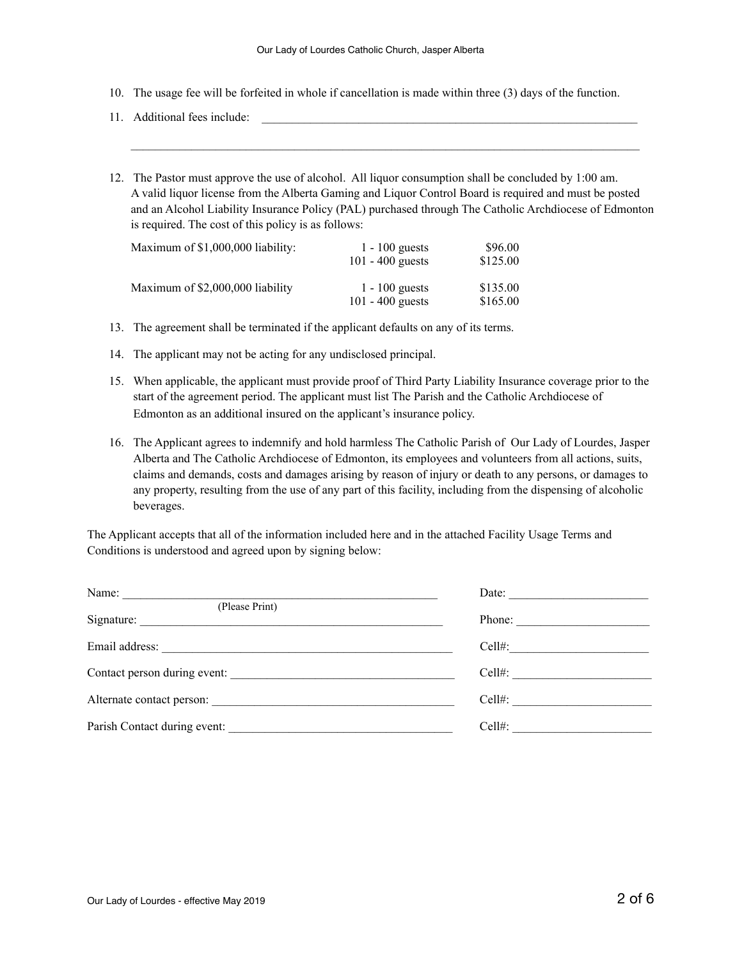- 10. The usage fee will be forfeited in whole if cancellation is made within three (3) days of the function.
- 11. Additional fees include:
- 12. The Pastor must approve the use of alcohol. All liquor consumption shall be concluded by 1:00 am. A valid liquor license from the Alberta Gaming and Liquor Control Board is required and must be posted and an Alcohol Liability Insurance Policy (PAL) purchased through The Catholic Archdiocese of Edmonton is required. The cost of this policy is as follows:

| Maximum of \$1,000,000 liability: | $1 - 100$ guests<br>101 - 400 guests   | \$96.00<br>\$125.00  |
|-----------------------------------|----------------------------------------|----------------------|
| Maximum of \$2,000,000 liability  | $1 - 100$ guests<br>$101 - 400$ guests | \$135.00<br>\$165.00 |

- 13. The agreement shall be terminated if the applicant defaults on any of its terms.
- 14. The applicant may not be acting for any undisclosed principal.
- 15. When applicable, the applicant must provide proof of Third Party Liability Insurance coverage prior to the start of the agreement period. The applicant must list The Parish and the Catholic Archdiocese of Edmonton as an additional insured on the applicant's insurance policy.
- 16. The Applicant agrees to indemnify and hold harmless The Catholic Parish of Our Lady of Lourdes, Jasper Alberta and The Catholic Archdiocese of Edmonton, its employees and volunteers from all actions, suits, claims and demands, costs and damages arising by reason of injury or death to any persons, or damages to any property, resulting from the use of any part of this facility, including from the dispensing of alcoholic beverages.

The Applicant accepts that all of the information included here and in the attached Facility Usage Terms and Conditions is understood and agreed upon by signing below:

| Name:                        | Date: $\qquad \qquad$  |
|------------------------------|------------------------|
| (Please Print)               |                        |
| Signature:                   | Phone: $\qquad \qquad$ |
|                              | $Cell#$ :              |
| Contact person during event: | $Cell#$ :              |
|                              | Cell#: $\qquad \qquad$ |
| Parish Contact during event: | $Cell#$ :              |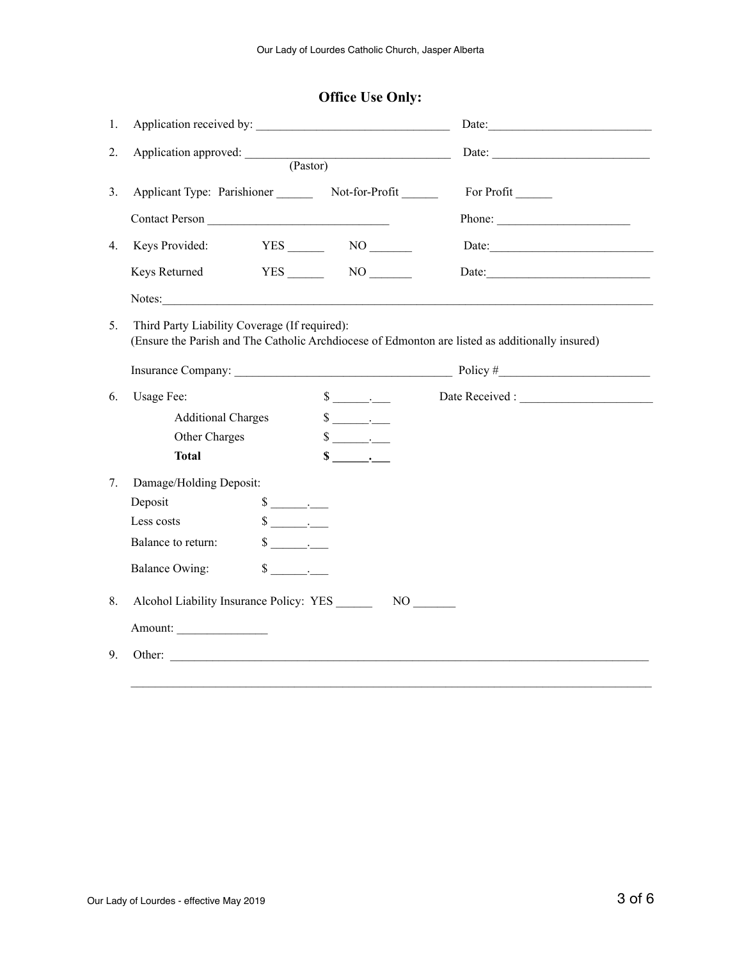| 1.                               |                                                                                                                                                  |                                                              |                     |  |  |
|----------------------------------|--------------------------------------------------------------------------------------------------------------------------------------------------|--------------------------------------------------------------|---------------------|--|--|
| 2.                               | Application approved: <u>(Pastor)</u>                                                                                                            |                                                              | Date: $\frac{1}{2}$ |  |  |
| 3 <sub>1</sub>                   |                                                                                                                                                  | Applicant Type: Parishioner _________ Not-for-Profit _______ | For Profit          |  |  |
| Contact Person                   |                                                                                                                                                  |                                                              |                     |  |  |
| Keys Provided:<br>4 <sub>1</sub> |                                                                                                                                                  |                                                              |                     |  |  |
| Keys Returned                    |                                                                                                                                                  |                                                              |                     |  |  |
|                                  |                                                                                                                                                  |                                                              | Notes: Notes:       |  |  |
| 5 <sub>1</sub>                   | Third Party Liability Coverage (If required):<br>(Ensure the Parish and The Catholic Archdiocese of Edmonton are listed as additionally insured) |                                                              |                     |  |  |
|                                  |                                                                                                                                                  |                                                              |                     |  |  |
| Usage Fee:<br>6.                 |                                                                                                                                                  | $\frac{\sqrt{2}}{2}$                                         |                     |  |  |
| <b>Additional Charges</b>        |                                                                                                                                                  | $\frac{\sqrt{2}}{2}$                                         |                     |  |  |
|                                  |                                                                                                                                                  | $\frac{\text{S}}{\text{S}}$ .                                |                     |  |  |
| Other Charges                    |                                                                                                                                                  |                                                              |                     |  |  |
| <b>Total</b>                     |                                                                                                                                                  | $\frac{\cdot}{\cdot}$                                        |                     |  |  |
| Damage/Holding Deposit:          |                                                                                                                                                  |                                                              |                     |  |  |
| Deposit                          | $\frac{\text{S}}{\text{S}}$ .                                                                                                                    |                                                              |                     |  |  |
| Less costs                       | $\frac{\text{S}}{\text{S}}$                                                                                                                      |                                                              |                     |  |  |
| Balance to return:               | $\frac{\sqrt{2}}{2}$                                                                                                                             |                                                              |                     |  |  |
| Balance Owing:                   | \$<br>$\mathcal{L} = \mathcal{L} \mathcal{L}$                                                                                                    |                                                              |                     |  |  |
| 7.<br>8.                         |                                                                                                                                                  |                                                              |                     |  |  |
| Amount:                          |                                                                                                                                                  |                                                              |                     |  |  |

# **Office Use Only:**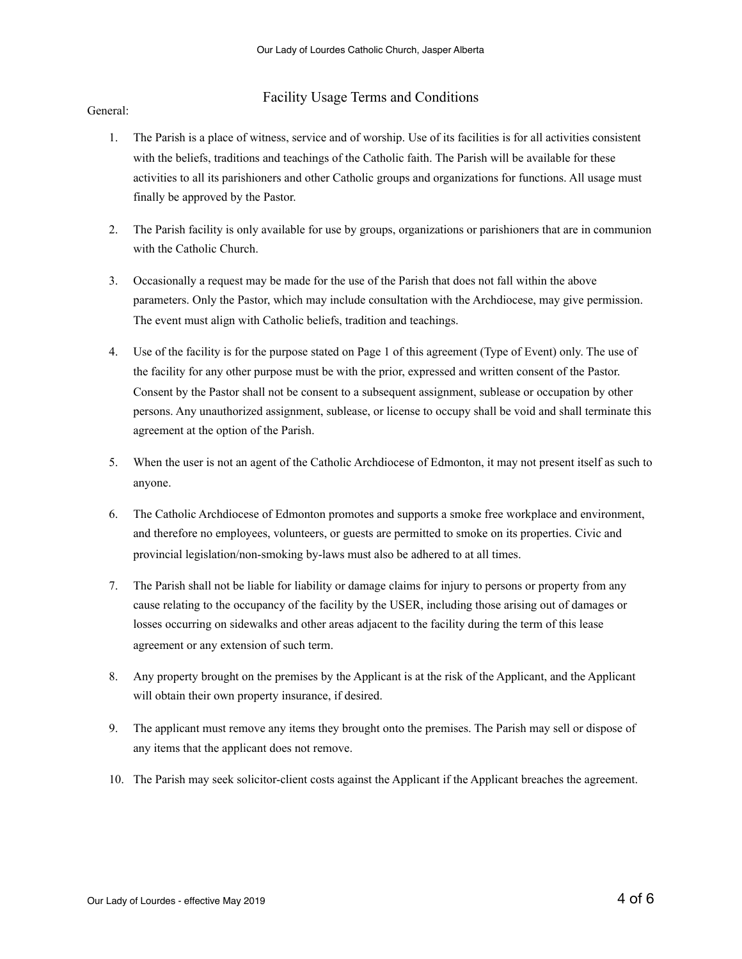### Facility Usage Terms and Conditions

General:

- 1. The Parish is a place of witness, service and of worship. Use of its facilities is for all activities consistent with the beliefs, traditions and teachings of the Catholic faith. The Parish will be available for these activities to all its parishioners and other Catholic groups and organizations for functions. All usage must finally be approved by the Pastor.
- 2. The Parish facility is only available for use by groups, organizations or parishioners that are in communion with the Catholic Church.
- 3. Occasionally a request may be made for the use of the Parish that does not fall within the above parameters. Only the Pastor, which may include consultation with the Archdiocese, may give permission. The event must align with Catholic beliefs, tradition and teachings.
- 4. Use of the facility is for the purpose stated on Page 1 of this agreement (Type of Event) only. The use of the facility for any other purpose must be with the prior, expressed and written consent of the Pastor. Consent by the Pastor shall not be consent to a subsequent assignment, sublease or occupation by other persons. Any unauthorized assignment, sublease, or license to occupy shall be void and shall terminate this agreement at the option of the Parish.
- 5. When the user is not an agent of the Catholic Archdiocese of Edmonton, it may not present itself as such to anyone.
- 6. The Catholic Archdiocese of Edmonton promotes and supports a smoke free workplace and environment, and therefore no employees, volunteers, or guests are permitted to smoke on its properties. Civic and provincial legislation/non-smoking by-laws must also be adhered to at all times.
- 7. The Parish shall not be liable for liability or damage claims for injury to persons or property from any cause relating to the occupancy of the facility by the USER, including those arising out of damages or losses occurring on sidewalks and other areas adjacent to the facility during the term of this lease agreement or any extension of such term.
- 8. Any property brought on the premises by the Applicant is at the risk of the Applicant, and the Applicant will obtain their own property insurance, if desired.
- 9. The applicant must remove any items they brought onto the premises. The Parish may sell or dispose of any items that the applicant does not remove.
- 10. The Parish may seek solicitor-client costs against the Applicant if the Applicant breaches the agreement.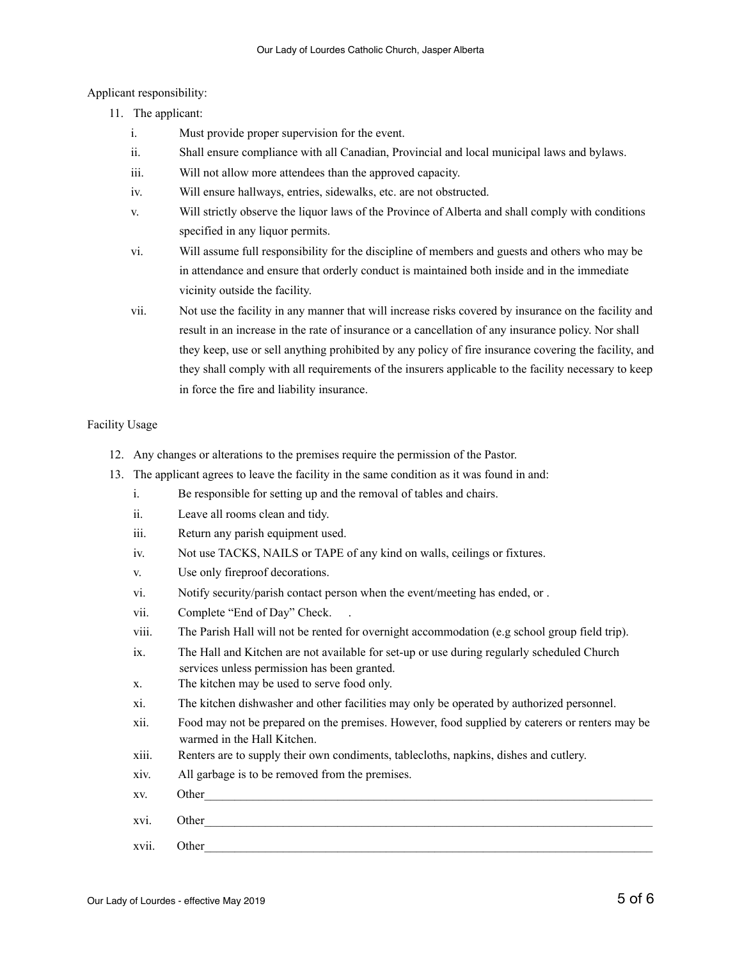Applicant responsibility:

- 11. The applicant:
	- i. Must provide proper supervision for the event.
	- ii. Shall ensure compliance with all Canadian, Provincial and local municipal laws and bylaws.
	- iii. Will not allow more attendees than the approved capacity.
	- iv. Will ensure hallways, entries, sidewalks, etc. are not obstructed.
	- v. Will strictly observe the liquor laws of the Province of Alberta and shall comply with conditions specified in any liquor permits.
	- vi. Will assume full responsibility for the discipline of members and guests and others who may be in attendance and ensure that orderly conduct is maintained both inside and in the immediate vicinity outside the facility.
	- vii. Not use the facility in any manner that will increase risks covered by insurance on the facility and result in an increase in the rate of insurance or a cancellation of any insurance policy. Nor shall they keep, use or sell anything prohibited by any policy of fire insurance covering the facility, and they shall comply with all requirements of the insurers applicable to the facility necessary to keep in force the fire and liability insurance.

#### Facility Usage

- 12. Any changes or alterations to the premises require the permission of the Pastor.
- 13. The applicant agrees to leave the facility in the same condition as it was found in and:
	- i. Be responsible for setting up and the removal of tables and chairs.
	- ii. Leave all rooms clean and tidy.
	- iii. Return any parish equipment used.
	- iv. Not use TACKS, NAILS or TAPE of any kind on walls, ceilings or fixtures.
	- v. Use only fireproof decorations.
	- vi. Notify security/parish contact person when the event/meeting has ended, or .
	- vii. Complete "End of Day" Check.
	- viii. The Parish Hall will not be rented for overnight accommodation (e.g school group field trip).
	- ix. The Hall and Kitchen are not available for set-up or use during regularly scheduled Church services unless permission has been granted.
	- x. The kitchen may be used to serve food only.
	- xi. The kitchen dishwasher and other facilities may only be operated by authorized personnel.
	- xii. Food may not be prepared on the premises. However, food supplied by caterers or renters may be warmed in the Hall Kitchen.
	- xiii. Renters are to supply their own condiments, tablecloths, napkins, dishes and cutlery.
	- xiv. All garbage is to be removed from the premises.
	- xv. Other
	- xvi. Other
	- xvii. Other\_\_\_\_\_\_\_\_\_\_\_\_\_\_\_\_\_\_\_\_\_\_\_\_\_\_\_\_\_\_\_\_\_\_\_\_\_\_\_\_\_\_\_\_\_\_\_\_\_\_\_\_\_\_\_\_\_\_\_\_\_\_\_\_\_\_\_\_\_\_\_\_\_\_